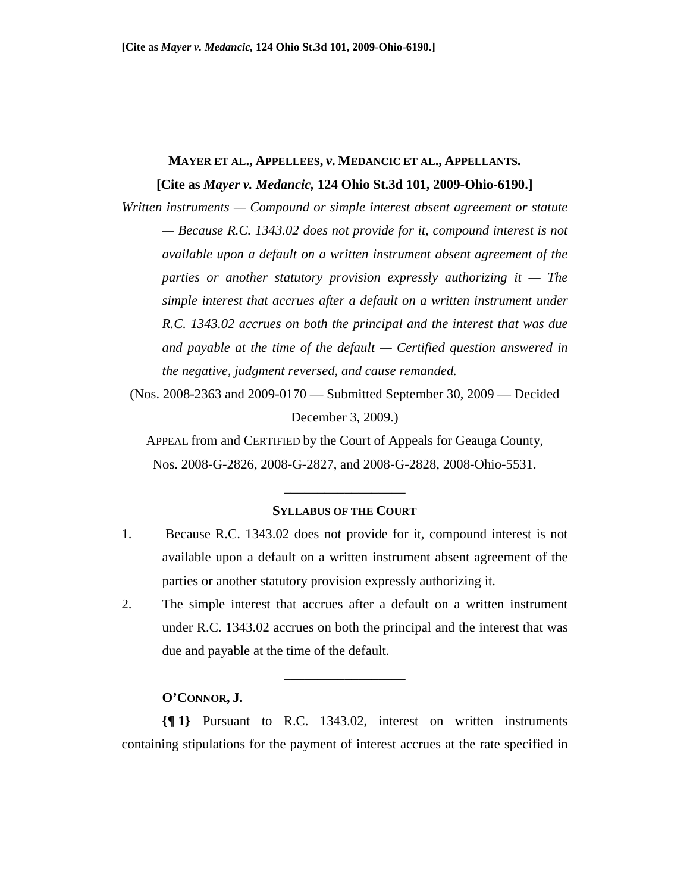# **MAYER ET AL., APPELLEES,** *v***. MEDANCIC ET AL., APPELLANTS. [Cite as** *Mayer v. Medancic,* **124 Ohio St.3d 101, 2009-Ohio-6190.]**

*Written instruments — Compound or simple interest absent agreement or statute — Because R.C. 1343.02 does not provide for it, compound interest is not available upon a default on a written instrument absent agreement of the parties or another statutory provision expressly authorizing it — The simple interest that accrues after a default on a written instrument under R.C. 1343.02 accrues on both the principal and the interest that was due and payable at the time of the default — Certified question answered in the negative, judgment reversed, and cause remanded.* 

(Nos. 2008-2363 and 2009-0170 — Submitted September 30, 2009 — Decided December 3, 2009.)

APPEAL from and CERTIFIED by the Court of Appeals for Geauga County, Nos. 2008-G-2826, 2008-G-2827, and 2008-G-2828, 2008-Ohio-5531.

\_\_\_\_\_\_\_\_\_\_\_\_\_\_\_\_\_\_

#### **SYLLABUS OF THE COURT**

- 1. Because R.C. 1343.02 does not provide for it, compound interest is not available upon a default on a written instrument absent agreement of the parties or another statutory provision expressly authorizing it.
- 2. The simple interest that accrues after a default on a written instrument under R.C. 1343.02 accrues on both the principal and the interest that was due and payable at the time of the default.

\_\_\_\_\_\_\_\_\_\_\_\_\_\_\_\_\_\_

### **O'CONNOR, J.**

**{¶ 1}** Pursuant to R.C. 1343.02, interest on written instruments containing stipulations for the payment of interest accrues at the rate specified in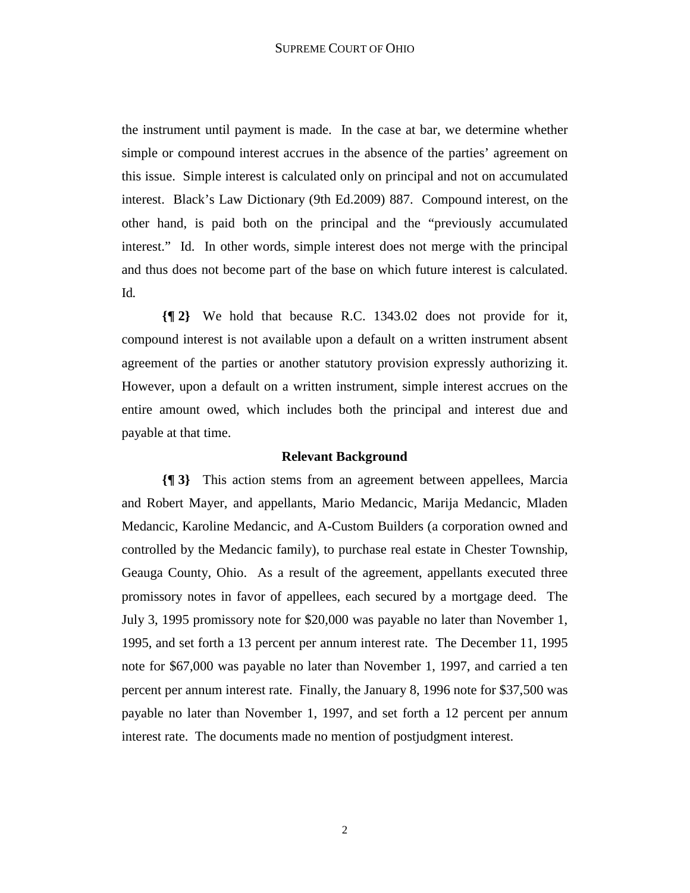the instrument until payment is made. In the case at bar, we determine whether simple or compound interest accrues in the absence of the parties' agreement on this issue. Simple interest is calculated only on principal and not on accumulated interest. Black's Law Dictionary (9th Ed.2009) 887. Compound interest, on the other hand, is paid both on the principal and the "previously accumulated interest." Id. In other words, simple interest does not merge with the principal and thus does not become part of the base on which future interest is calculated. Id*.* 

**{¶ 2}** We hold that because R.C. 1343.02 does not provide for it, compound interest is not available upon a default on a written instrument absent agreement of the parties or another statutory provision expressly authorizing it. However, upon a default on a written instrument, simple interest accrues on the entire amount owed, which includes both the principal and interest due and payable at that time.

#### **Relevant Background**

**{¶ 3}** This action stems from an agreement between appellees, Marcia and Robert Mayer, and appellants, Mario Medancic, Marija Medancic, Mladen Medancic, Karoline Medancic, and A-Custom Builders (a corporation owned and controlled by the Medancic family), to purchase real estate in Chester Township, Geauga County, Ohio. As a result of the agreement, appellants executed three promissory notes in favor of appellees, each secured by a mortgage deed. The July 3, 1995 promissory note for \$20,000 was payable no later than November 1, 1995, and set forth a 13 percent per annum interest rate. The December 11, 1995 note for \$67,000 was payable no later than November 1, 1997, and carried a ten percent per annum interest rate. Finally, the January 8, 1996 note for \$37,500 was payable no later than November 1, 1997, and set forth a 12 percent per annum interest rate. The documents made no mention of postjudgment interest.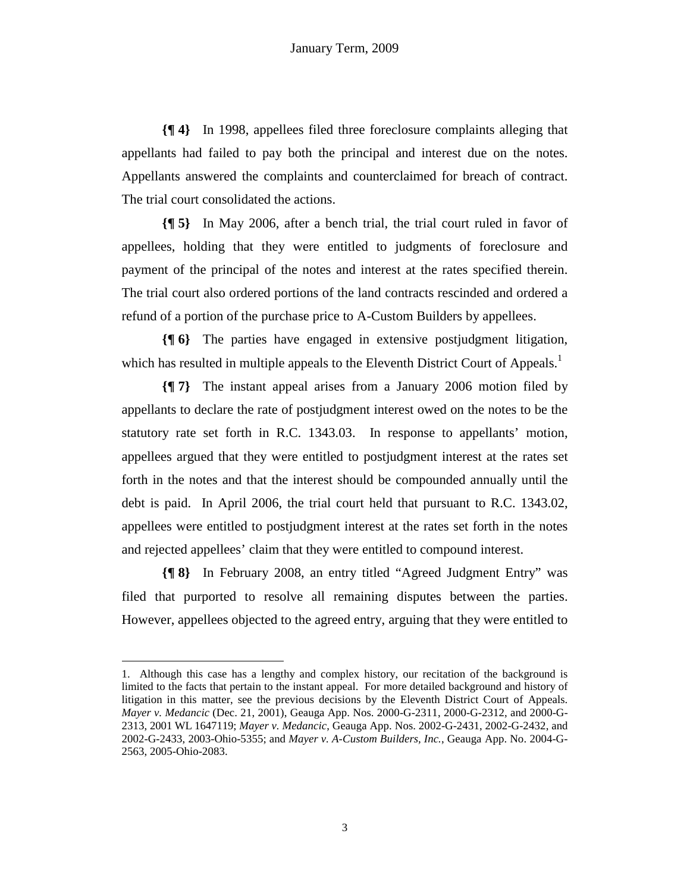**{¶ 4}** In 1998, appellees filed three foreclosure complaints alleging that appellants had failed to pay both the principal and interest due on the notes. Appellants answered the complaints and counterclaimed for breach of contract. The trial court consolidated the actions.

**{¶ 5}** In May 2006, after a bench trial, the trial court ruled in favor of appellees, holding that they were entitled to judgments of foreclosure and payment of the principal of the notes and interest at the rates specified therein. The trial court also ordered portions of the land contracts rescinded and ordered a refund of a portion of the purchase price to A-Custom Builders by appellees.

**{¶ 6}** The parties have engaged in extensive postjudgment litigation, which has resulted in multiple appeals to the Eleventh District Court of Appeals.<sup>1</sup>

**{¶ 7}** The instant appeal arises from a January 2006 motion filed by appellants to declare the rate of postjudgment interest owed on the notes to be the statutory rate set forth in R.C. 1343.03. In response to appellants' motion, appellees argued that they were entitled to postjudgment interest at the rates set forth in the notes and that the interest should be compounded annually until the debt is paid. In April 2006, the trial court held that pursuant to R.C. 1343.02, appellees were entitled to postjudgment interest at the rates set forth in the notes and rejected appellees' claim that they were entitled to compound interest.

**{¶ 8}** In February 2008, an entry titled "Agreed Judgment Entry" was filed that purported to resolve all remaining disputes between the parties. However, appellees objected to the agreed entry, arguing that they were entitled to

1

<sup>1.</sup> Although this case has a lengthy and complex history, our recitation of the background is limited to the facts that pertain to the instant appeal. For more detailed background and history of litigation in this matter, see the previous decisions by the Eleventh District Court of Appeals. *Mayer v. Medancic* (Dec. 21, 2001), Geauga App. Nos. 2000-G-2311, 2000-G-2312, and 2000-G-2313, 2001 WL 1647119; *Mayer v. Medancic*, Geauga App. Nos. 2002-G-2431, 2002-G-2432, and 2002-G-2433, 2003-Ohio-5355; and *Mayer v. A-Custom Builders, Inc.*, Geauga App. No. 2004-G-2563, 2005-Ohio-2083.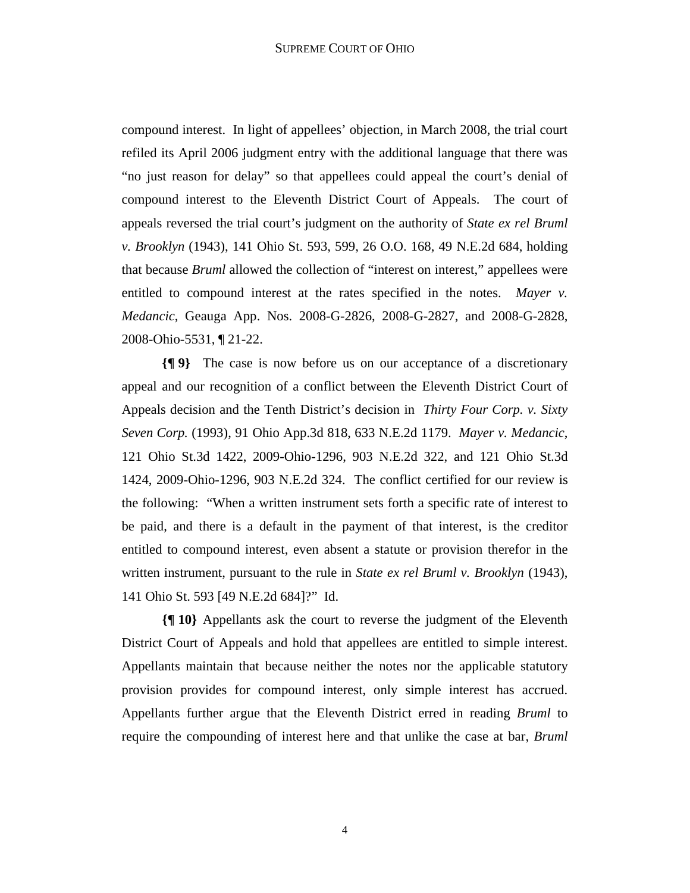compound interest. In light of appellees' objection, in March 2008, the trial court refiled its April 2006 judgment entry with the additional language that there was "no just reason for delay" so that appellees could appeal the court's denial of compound interest to the Eleventh District Court of Appeals. The court of appeals reversed the trial court's judgment on the authority of *State ex rel Bruml v. Brooklyn* (1943), 141 Ohio St. 593, 599, 26 O.O. 168, 49 N.E.2d 684, holding that because *Bruml* allowed the collection of "interest on interest," appellees were entitled to compound interest at the rates specified in the notes. *Mayer v. Medancic*, Geauga App. Nos. 2008-G-2826, 2008-G-2827, and 2008-G-2828, 2008-Ohio-5531, ¶ 21-22.

**{¶ 9}** The case is now before us on our acceptance of a discretionary appeal and our recognition of a conflict between the Eleventh District Court of Appeals decision and the Tenth District's decision in *Thirty Four Corp. v. Sixty Seven Corp.* (1993), 91 Ohio App.3d 818, 633 N.E.2d 1179. *Mayer v. Medancic*, 121 Ohio St.3d 1422, 2009-Ohio-1296, 903 N.E.2d 322, and 121 Ohio St.3d 1424, 2009-Ohio-1296, 903 N.E.2d 324. The conflict certified for our review is the following: "When a written instrument sets forth a specific rate of interest to be paid, and there is a default in the payment of that interest, is the creditor entitled to compound interest, even absent a statute or provision therefor in the written instrument, pursuant to the rule in *State ex rel Bruml v. Brooklyn* (1943), 141 Ohio St. 593 [49 N.E.2d 684]?" Id.

**{¶ 10}** Appellants ask the court to reverse the judgment of the Eleventh District Court of Appeals and hold that appellees are entitled to simple interest. Appellants maintain that because neither the notes nor the applicable statutory provision provides for compound interest, only simple interest has accrued. Appellants further argue that the Eleventh District erred in reading *Bruml* to require the compounding of interest here and that unlike the case at bar, *Bruml*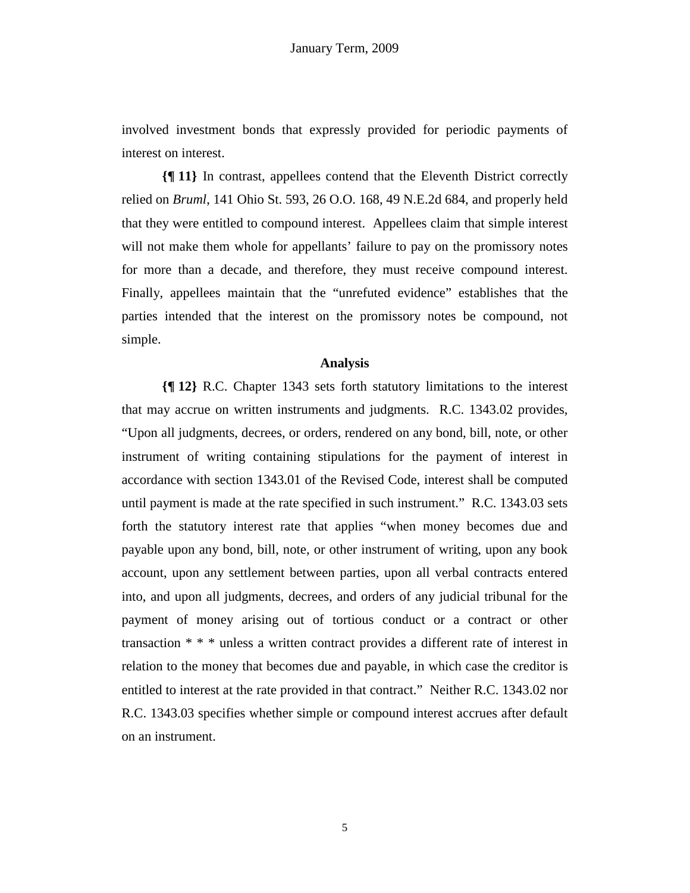involved investment bonds that expressly provided for periodic payments of interest on interest.

**{¶ 11}** In contrast, appellees contend that the Eleventh District correctly relied on *Bruml*, 141 Ohio St. 593, 26 O.O. 168, 49 N.E.2d 684, and properly held that they were entitled to compound interest. Appellees claim that simple interest will not make them whole for appellants' failure to pay on the promissory notes for more than a decade, and therefore, they must receive compound interest. Finally, appellees maintain that the "unrefuted evidence" establishes that the parties intended that the interest on the promissory notes be compound, not simple.

## **Analysis**

**{¶ 12}** R.C. Chapter 1343 sets forth statutory limitations to the interest that may accrue on written instruments and judgments. R.C. 1343.02 provides, "Upon all judgments, decrees, or orders, rendered on any bond, bill, note, or other instrument of writing containing stipulations for the payment of interest in accordance with section 1343.01 of the Revised Code, interest shall be computed until payment is made at the rate specified in such instrument." R.C. 1343.03 sets forth the statutory interest rate that applies "when money becomes due and payable upon any bond, bill, note, or other instrument of writing, upon any book account, upon any settlement between parties, upon all verbal contracts entered into, and upon all judgments, decrees, and orders of any judicial tribunal for the payment of money arising out of tortious conduct or a contract or other transaction \* \* \* unless a written contract provides a different rate of interest in relation to the money that becomes due and payable, in which case the creditor is entitled to interest at the rate provided in that contract." Neither R.C. 1343.02 nor R.C. 1343.03 specifies whether simple or compound interest accrues after default on an instrument.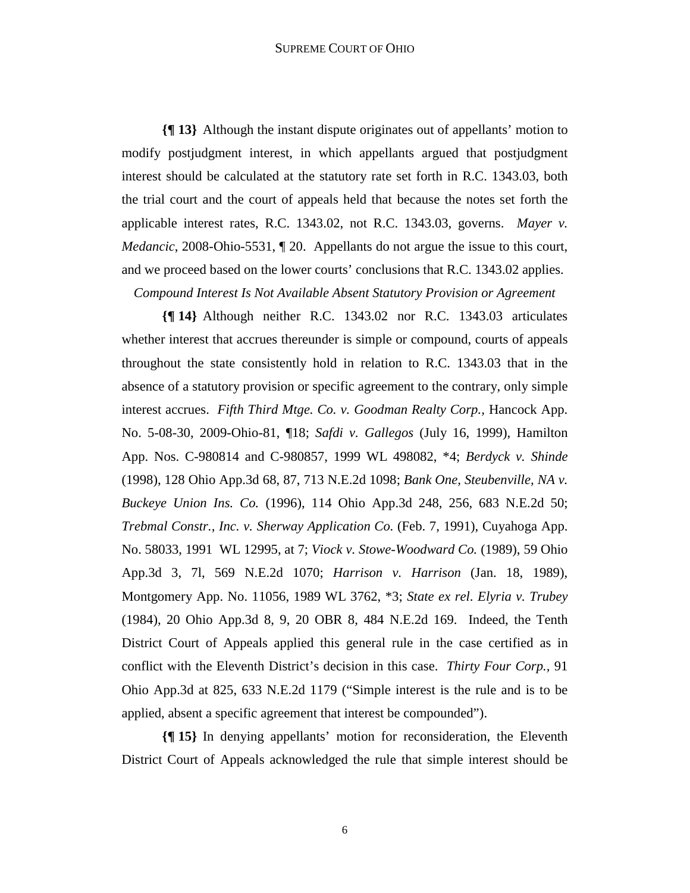#### SUPREME COURT OF OHIO

**{¶ 13}** Although the instant dispute originates out of appellants' motion to modify postjudgment interest, in which appellants argued that postjudgment interest should be calculated at the statutory rate set forth in R.C. 1343.03, both the trial court and the court of appeals held that because the notes set forth the applicable interest rates, R.C. 1343.02, not R.C. 1343.03, governs. *Mayer v. Medancic*, 2008-Ohio-5531, ¶ 20. Appellants do not argue the issue to this court, and we proceed based on the lower courts' conclusions that R.C. 1343.02 applies.

*Compound Interest Is Not Available Absent Statutory Provision or Agreement* 

**{¶ 14}** Although neither R.C. 1343.02 nor R.C. 1343.03 articulates whether interest that accrues thereunder is simple or compound, courts of appeals throughout the state consistently hold in relation to R.C. 1343.03 that in the absence of a statutory provision or specific agreement to the contrary, only simple interest accrues. *Fifth Third Mtge. Co. v. Goodman Realty Corp.,* Hancock App. No. 5-08-30, 2009-Ohio-81, ¶18; *Safdi v. Gallegos* (July 16, 1999), Hamilton App. Nos. C-980814 and C-980857, 1999 WL 498082, \*4; *Berdyck v. Shinde* (1998), 128 Ohio App.3d 68, 87, 713 N.E.2d 1098; *Bank One, Steubenville, NA v. Buckeye Union Ins. Co.* (1996), 114 Ohio App.3d 248, 256, 683 N.E.2d 50; *Trebmal Constr., Inc. v. Sherway Application Co.* (Feb. 7, 1991), Cuyahoga App. No. 58033, 1991 WL 12995, at 7; *Viock v. Stowe-Woodward Co.* (1989), 59 Ohio App.3d 3, 7l, 569 N.E.2d 1070; *Harrison v. Harrison* (Jan. 18, 1989), Montgomery App. No. 11056, 1989 WL 3762, \*3; *State ex rel*. *Elyria v. Trubey* (1984), 20 Ohio App.3d 8, 9, 20 OBR 8, 484 N.E.2d 169. Indeed, the Tenth District Court of Appeals applied this general rule in the case certified as in conflict with the Eleventh District's decision in this case. *Thirty Four Corp.,* 91 Ohio App.3d at 825, 633 N.E.2d 1179 ("Simple interest is the rule and is to be applied, absent a specific agreement that interest be compounded").

**{¶ 15}** In denying appellants' motion for reconsideration, the Eleventh District Court of Appeals acknowledged the rule that simple interest should be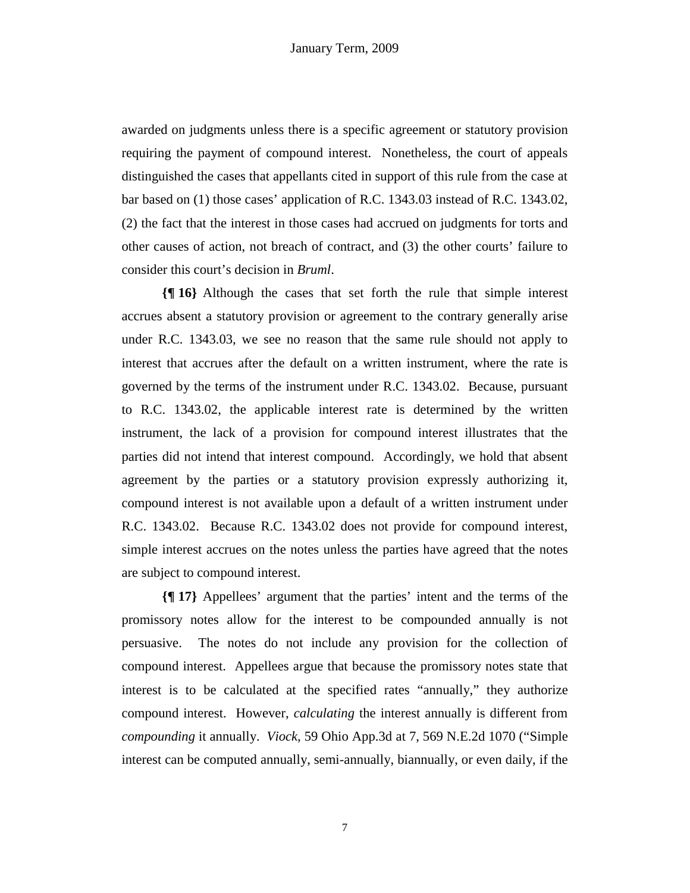awarded on judgments unless there is a specific agreement or statutory provision requiring the payment of compound interest. Nonetheless, the court of appeals distinguished the cases that appellants cited in support of this rule from the case at bar based on (1) those cases' application of R.C. 1343.03 instead of R.C. 1343.02, (2) the fact that the interest in those cases had accrued on judgments for torts and other causes of action, not breach of contract, and (3) the other courts' failure to consider this court's decision in *Bruml*.

**{¶ 16}** Although the cases that set forth the rule that simple interest accrues absent a statutory provision or agreement to the contrary generally arise under R.C. 1343.03, we see no reason that the same rule should not apply to interest that accrues after the default on a written instrument, where the rate is governed by the terms of the instrument under R.C. 1343.02. Because, pursuant to R.C. 1343.02, the applicable interest rate is determined by the written instrument, the lack of a provision for compound interest illustrates that the parties did not intend that interest compound. Accordingly, we hold that absent agreement by the parties or a statutory provision expressly authorizing it, compound interest is not available upon a default of a written instrument under R.C. 1343.02. Because R.C. 1343.02 does not provide for compound interest, simple interest accrues on the notes unless the parties have agreed that the notes are subject to compound interest.

**{¶ 17}** Appellees' argument that the parties' intent and the terms of the promissory notes allow for the interest to be compounded annually is not persuasive. The notes do not include any provision for the collection of compound interest. Appellees argue that because the promissory notes state that interest is to be calculated at the specified rates "annually," they authorize compound interest. However, *calculating* the interest annually is different from *compounding* it annually. *Viock*, 59 Ohio App.3d at 7, 569 N.E.2d 1070 ("Simple interest can be computed annually, semi-annually, biannually, or even daily, if the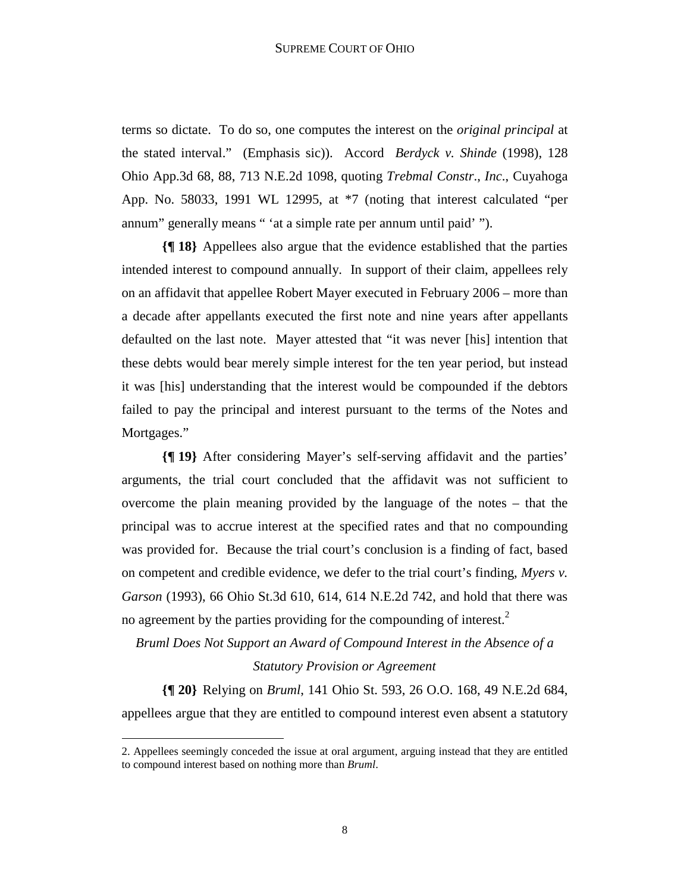terms so dictate. To do so, one computes the interest on the *original principal* at the stated interval." (Emphasis sic)). Accord *Berdyck v. Shinde* (1998), 128 Ohio App.3d 68, 88, 713 N.E.2d 1098, quoting *Trebmal Constr*., *Inc*., Cuyahoga App. No. 58033, 1991 WL 12995, at \*7 (noting that interest calculated "per annum" generally means " 'at a simple rate per annum until paid' ").

**{¶ 18}** Appellees also argue that the evidence established that the parties intended interest to compound annually. In support of their claim, appellees rely on an affidavit that appellee Robert Mayer executed in February 2006 – more than a decade after appellants executed the first note and nine years after appellants defaulted on the last note. Mayer attested that "it was never [his] intention that these debts would bear merely simple interest for the ten year period, but instead it was [his] understanding that the interest would be compounded if the debtors failed to pay the principal and interest pursuant to the terms of the Notes and Mortgages."

**{¶ 19}** After considering Mayer's self-serving affidavit and the parties' arguments, the trial court concluded that the affidavit was not sufficient to overcome the plain meaning provided by the language of the notes – that the principal was to accrue interest at the specified rates and that no compounding was provided for. Because the trial court's conclusion is a finding of fact, based on competent and credible evidence, we defer to the trial court's finding, *Myers v. Garson* (1993), 66 Ohio St.3d 610, 614, 614 N.E.2d 742, and hold that there was no agreement by the parties providing for the compounding of interest.<sup>2</sup>

*Bruml Does Not Support an Award of Compound Interest in the Absence of a Statutory Provision or Agreement* 

**{¶ 20}** Relying on *Bruml*, 141 Ohio St. 593, 26 O.O. 168, 49 N.E.2d 684, appellees argue that they are entitled to compound interest even absent a statutory

1

<sup>2.</sup> Appellees seemingly conceded the issue at oral argument, arguing instead that they are entitled to compound interest based on nothing more than *Bruml*.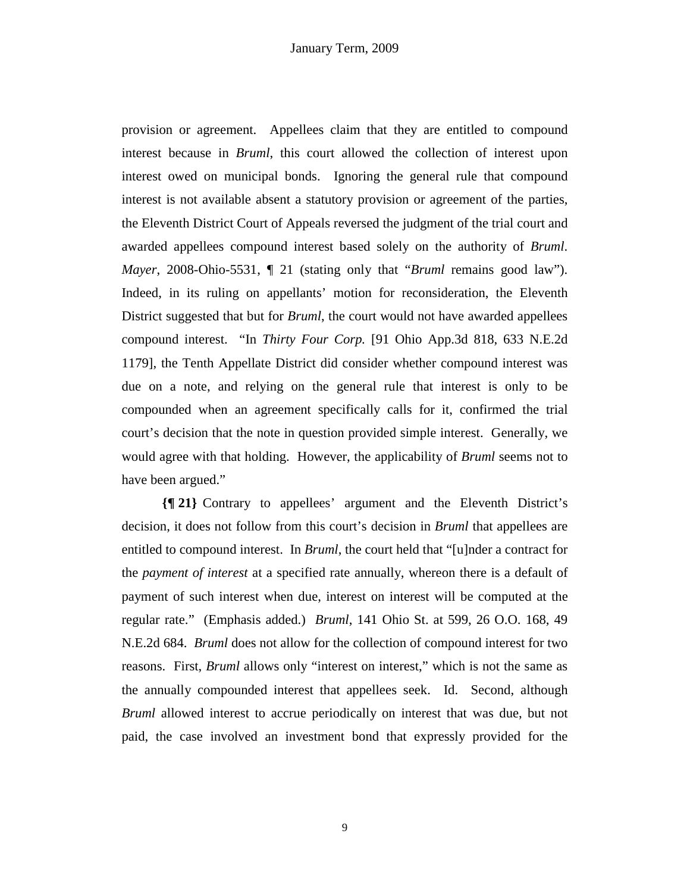provision or agreement. Appellees claim that they are entitled to compound interest because in *Bruml*, this court allowed the collection of interest upon interest owed on municipal bonds. Ignoring the general rule that compound interest is not available absent a statutory provision or agreement of the parties, the Eleventh District Court of Appeals reversed the judgment of the trial court and awarded appellees compound interest based solely on the authority of *Bruml*. *Mayer*, 2008-Ohio-5531, ¶ 21 (stating only that "*Bruml* remains good law"). Indeed, in its ruling on appellants' motion for reconsideration, the Eleventh District suggested that but for *Bruml*, the court would not have awarded appellees compound interest. "In *Thirty Four Corp.* [91 Ohio App.3d 818, 633 N.E.2d 1179], the Tenth Appellate District did consider whether compound interest was due on a note, and relying on the general rule that interest is only to be compounded when an agreement specifically calls for it, confirmed the trial court's decision that the note in question provided simple interest. Generally, we would agree with that holding. However, the applicability of *Bruml* seems not to have been argued."

**{¶ 21}** Contrary to appellees' argument and the Eleventh District's decision, it does not follow from this court's decision in *Bruml* that appellees are entitled to compound interest. In *Bruml*, the court held that "[u]nder a contract for the *payment of interest* at a specified rate annually, whereon there is a default of payment of such interest when due, interest on interest will be computed at the regular rate." (Emphasis added.) *Bruml*, 141 Ohio St. at 599, 26 O.O. 168, 49 N.E.2d 684. *Bruml* does not allow for the collection of compound interest for two reasons. First, *Bruml* allows only "interest on interest," which is not the same as the annually compounded interest that appellees seek. Id. Second, although *Bruml* allowed interest to accrue periodically on interest that was due, but not paid, the case involved an investment bond that expressly provided for the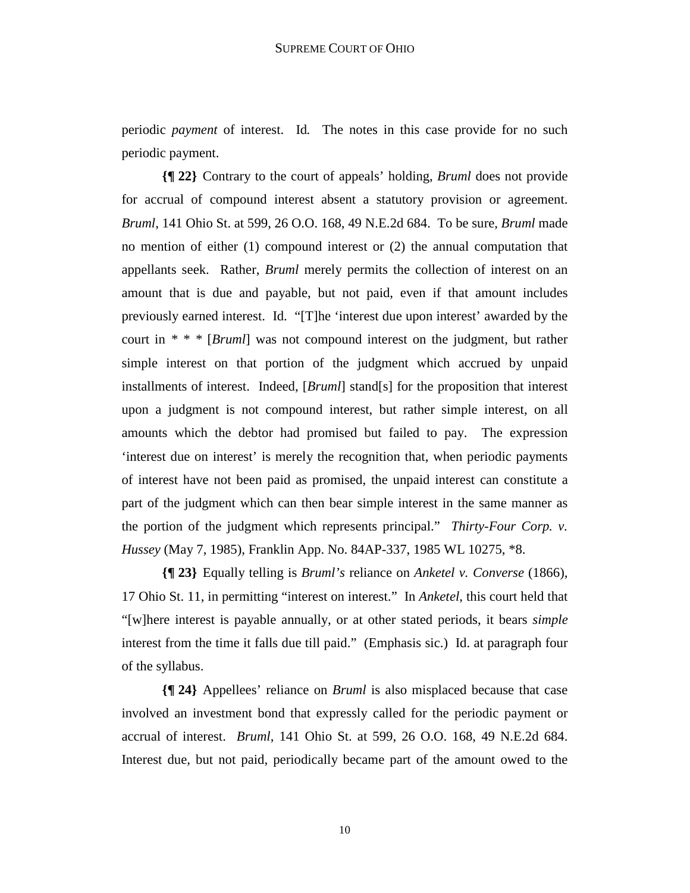periodic *payment* of interest. Id*.* The notes in this case provide for no such periodic payment.

**{¶ 22}** Contrary to the court of appeals' holding, *Bruml* does not provide for accrual of compound interest absent a statutory provision or agreement. *Bruml*, 141 Ohio St. at 599, 26 O.O. 168, 49 N.E.2d 684. To be sure, *Bruml* made no mention of either (1) compound interest or (2) the annual computation that appellants seek. Rather, *Bruml* merely permits the collection of interest on an amount that is due and payable, but not paid, even if that amount includes previously earned interest. Id. "[T]he 'interest due upon interest' awarded by the court in *\* \* \** [*Bruml*] was not compound interest on the judgment, but rather simple interest on that portion of the judgment which accrued by unpaid installments of interest. Indeed, [*Bruml*] stand[s] for the proposition that interest upon a judgment is not compound interest, but rather simple interest, on all amounts which the debtor had promised but failed to pay. The expression 'interest due on interest' is merely the recognition that, when periodic payments of interest have not been paid as promised, the unpaid interest can constitute a part of the judgment which can then bear simple interest in the same manner as the portion of the judgment which represents principal." *Thirty-Four Corp. v. Hussey* (May 7, 1985), Franklin App. No. 84AP-337, 1985 WL 10275, \*8.

**{¶ 23}** Equally telling is *Bruml's* reliance on *Anketel v. Converse* (1866), 17 Ohio St. 11, in permitting "interest on interest." In *Anketel*, this court held that "[w]here interest is payable annually, or at other stated periods, it bears *simple* interest from the time it falls due till paid." (Emphasis sic.) Id. at paragraph four of the syllabus.

**{¶ 24}** Appellees' reliance on *Bruml* is also misplaced because that case involved an investment bond that expressly called for the periodic payment or accrual of interest. *Bruml*, 141 Ohio St. at 599, 26 O.O. 168, 49 N.E.2d 684. Interest due, but not paid, periodically became part of the amount owed to the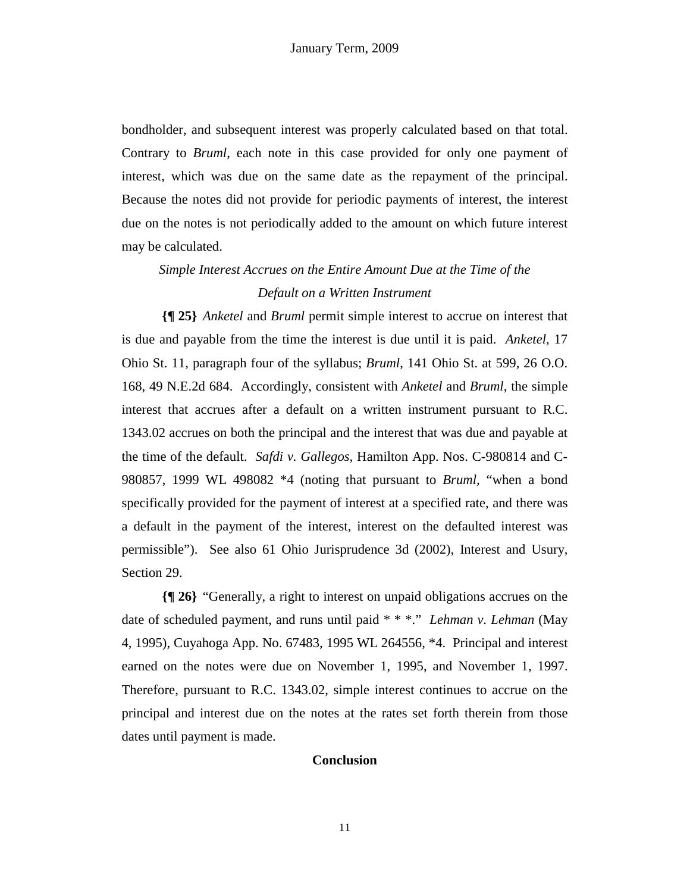bondholder, and subsequent interest was properly calculated based on that total. Contrary to *Bruml*, each note in this case provided for only one payment of interest, which was due on the same date as the repayment of the principal. Because the notes did not provide for periodic payments of interest, the interest due on the notes is not periodically added to the amount on which future interest may be calculated.

# *Simple Interest Accrues on the Entire Amount Due at the Time of the Default on a Written Instrument*

**{¶ 25}** *Anketel* and *Bruml* permit simple interest to accrue on interest that is due and payable from the time the interest is due until it is paid. *Anketel*, 17 Ohio St. 11, paragraph four of the syllabus; *Bruml*, 141 Ohio St. at 599, 26 O.O. 168, 49 N.E.2d 684. Accordingly, consistent with *Anketel* and *Bruml*, the simple interest that accrues after a default on a written instrument pursuant to R.C. 1343.02 accrues on both the principal and the interest that was due and payable at the time of the default. *Safdi v. Gallegos,* Hamilton App. Nos. C-980814 and C-980857, 1999 WL 498082 \*4 (noting that pursuant to *Bruml,* "when a bond specifically provided for the payment of interest at a specified rate, and there was a default in the payment of the interest, interest on the defaulted interest was permissible"). See also 61 Ohio Jurisprudence 3d (2002), Interest and Usury, Section 29.

**{¶ 26}** "Generally, a right to interest on unpaid obligations accrues on the date of scheduled payment, and runs until paid \* \* \*." *Lehman v. Lehman* (May 4, 1995), Cuyahoga App. No. 67483, 1995 WL 264556, \*4. Principal and interest earned on the notes were due on November 1, 1995, and November 1, 1997. Therefore, pursuant to R.C. 1343.02, simple interest continues to accrue on the principal and interest due on the notes at the rates set forth therein from those dates until payment is made.

#### **Conclusion**